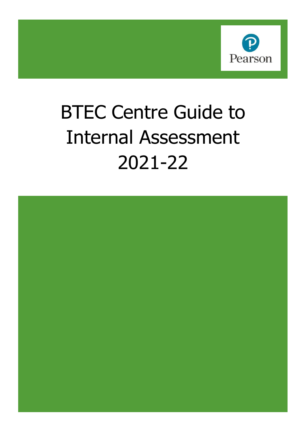

# BTEC Centre Guide to Internal Assessment 2021-22

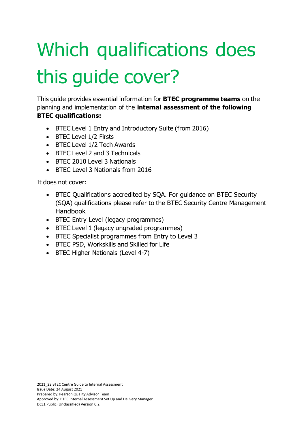# Which qualifications does this guide cover?

This guide provides essential information for **BTEC programme teams** on the planning and implementation of the **internal assessment of the following BTEC qualifications:**

- BTEC Level 1 Entry and Introductory Suite (from 2016)
- BTEC Level 1/2 Firsts
- BTEC Level 1/2 Tech Awards
- BTEC Level 2 and 3 Technicals
- BTEC 2010 Level 3 Nationals
- BTEC Level 3 Nationals from 2016

It does not cover:

- BTEC Qualifications accredited by SQA. For guidance on BTEC Security (SQA) qualifications please refer to the BTEC Security Centre Management Handbook
- BTEC Entry Level (legacy programmes)
- BTEC Level 1 (legacy ungraded programmes)
- BTEC Specialist programmes from Entry to Level 3
- BTEC PSD, Workskills and Skilled for Life
- BTEC Higher Nationals (Level 4-7)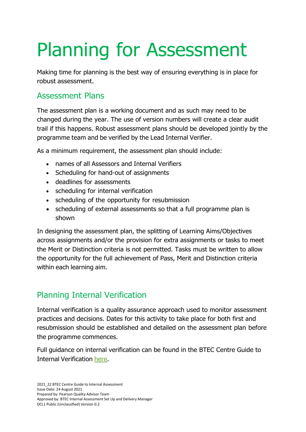# Planning for Assessment

Making time for planning is the best way of ensuring everything is in place for robust assessment.

## Assessment Plans

The assessment plan is a working document and as such may need to be changed during the year. The use of version numbers will create a clear audit trail if this happens. Robust assessment plans should be developed jointly by the programme team and be verified by the Lead Internal Verifier.

As a minimum requirement, the assessment plan should include:

- names of all Assessors and Internal Verifiers
- Scheduling for hand-out of assignments
- deadlines for assessments
- scheduling for internal verification
- scheduling of the opportunity for resubmission
- scheduling of external assessments so that a full programme plan is shown

In designing the assessment plan, the splitting of Learning Aims/Objectives across assignments and/or the provision for extra assignments or tasks to meet the Merit or Distinction criteria is not permitted. Tasks must be written to allow the opportunity for the full achievement of Pass, Merit and Distinction criteria within each learning aim.

# Planning Internal Verification

Internal verification is a quality assurance approach used to monitor assessment practices and decisions. Dates for this activity to take place for both first and resubmission should be established and detailed on the assessment plan before the programme commences.

Full guidance on internal verification can be found in the BTEC Centre Guide to Internal Verification here.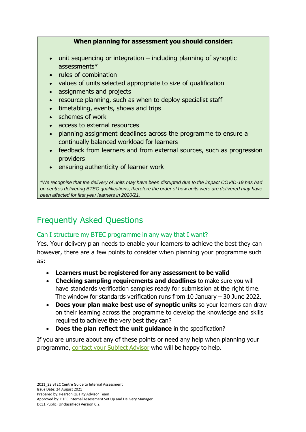#### **When planning for assessment you should consider:**

- unit sequencing or integration including planning of synoptic assessments\*
- rules of combination
- values of units selected appropriate to size of qualification
- assignments and projects
- resource planning, such as when to deploy specialist staff
- timetabling, events, shows and trips
- schemes of work
- access to external resources
- planning assignment deadlines across the programme to ensure a continually balanced workload for learners
- feedback from learners and from external sources, such as progression providers
- ensuring authenticity of learner work

*\*We recognise that the delivery of units may have been disrupted due to the impact COVID-19 has had on centres delivering BTEC qualifications, therefore the order of how units were are delivered may have been affected for first year learners in 2020/21.*

# Frequently Asked Questions

## Can I structure my BTEC programme in any way that I want?

Yes. Your delivery plan needs to enable your learners to achieve the best they can however, there are a few points to consider when planning your programme such as:

- **Learners must be registered for any assessment to be valid**
- **Checking sampling requirements and deadlines** to make sure you will have standards verification samples ready for submission at the right time. The window for standards verification runs from 10 January – 30 June 2022.
- **Does your plan make best use of synoptic units** so your learners can draw on their learning across the programme to develop the knowledge and skills required to achieve the very best they can?
- **Does the plan reflect the unit guidance** in the specification?

If you are unsure about any of these points or need any help when planning your programme, contact your Subject Advisor who will be happy to help.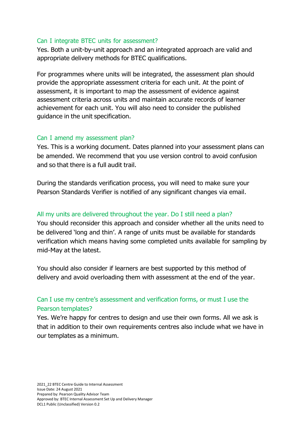#### Can I integrate BTEC units for assessment?

Yes. Both a unit-by-unit approach and an integrated approach are valid and appropriate delivery methods for BTEC qualifications.

For programmes where units will be integrated, the assessment plan should provide the appropriate assessment criteria for each unit. At the point of assessment, it is important to map the assessment of evidence against assessment criteria across units and maintain accurate records of learner achievement for each unit. You will also need to consider the published guidance in the unit specification.

#### Can I amend my assessment plan?

Yes. This is a working document. Dates planned into your assessment plans can be amended. We recommend that you use version control to avoid confusion and so that there is a full audit trail.

During the standards verification process, you will need to make sure your Pearson Standards Verifier is notified of any significant changes via email.

#### All my units are delivered throughout the year. Do I still need a plan?

You should reconsider this approach and consider whether all the units need to be delivered 'long and thin'. A range of units must be available for standards verification which means having some completed units available for sampling by mid-May at the latest.

You should also consider if learners are best supported by this method of delivery and avoid overloading them with assessment at the end of the year.

### Can I use my centre's assessment and verification forms, or must I use the Pearson templates?

Yes. We're happy for centres to design and use their own forms. All we ask is that in addition to their own requirements centres also include what we have in our templates as a minimum.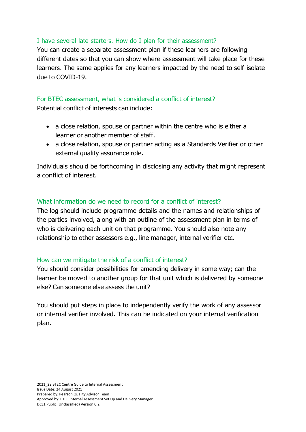#### I have several late starters. How do I plan for their assessment?

You can create a separate assessment plan if these learners are following different dates so that you can show where assessment will take place for these learners. The same applies for any learners impacted by the need to self-isolate due to COVID-19.

### For BTEC assessment, what is considered a conflict of interest?

Potential conflict of interests can include:

- a close relation, spouse or partner within the centre who is either a learner or another member of staff.
- a close relation, spouse or partner acting as a Standards Verifier or other external quality assurance role.

Individuals should be forthcoming in disclosing any activity that might represent a conflict of interest.

#### What information do we need to record for a conflict of interest?

The log should include programme details and the names and relationships of the parties involved, along with an outline of the assessment plan in terms of who is delivering each unit on that programme. You should also note any relationship to other assessors e.g., line manager, internal verifier etc.

#### How can we mitigate the risk of a conflict of interest?

You should consider possibilities for amending delivery in some way; can the learner be moved to another group for that unit which is delivered by someone else? Can someone else assess the unit?

You should put steps in place to independently verify the work of any assessor or internal verifier involved. This can be indicated on your internal verification plan.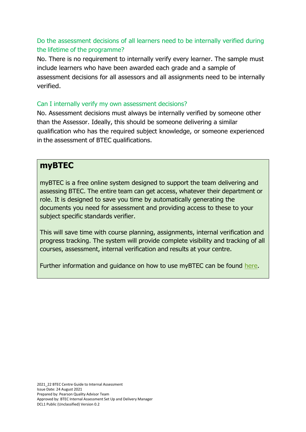### Do the assessment decisions of all learners need to be internally verified during the lifetime of the programme?

No. There is no requirement to internally verify every learner. The sample must include learners who have been awarded each grade and a sample of assessment decisions for all assessors and all assignments need to be internally verified.

#### Can I internally verify my own assessment decisions?

No. Assessment decisions must always be internally verified by someone other than the Assessor. Ideally, this should be someone delivering a similar qualification who has the required subject knowledge, or someone experienced in the assessment of BTEC qualifications.

## **myBTEC**

myBTEC is a free online system designed to support the team delivering and assessing BTEC. The entire team can get access, whatever their department or role. It is designed to save you time by automatically generating the documents you need for assessment and providing access to these to your subject specific standards verifier.

This will save time with course planning, assignments, internal verification and progress tracking. The system will provide complete visibility and tracking of all courses, assessment, internal verification and results at your centre.

Further information and guidance on how to use myBTEC can be found here.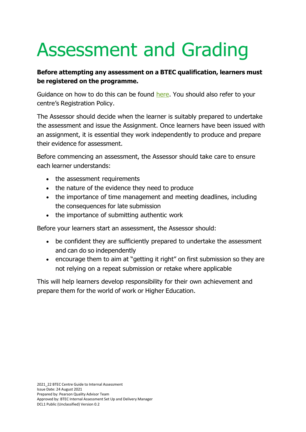# Assessment and Grading

## **Before attempting any assessment on a BTEC qualification, learners must be registered on the programme.**

Guidance on how to do this can be found here. You should also refer to your centre's Registration Policy.

The Assessor should decide when the learner is suitably prepared to undertake the assessment and issue the Assignment. Once learners have been issued with an assignment, it is essential they work independently to produce and prepare their evidence for assessment.

Before commencing an assessment, the Assessor should take care to ensure each learner understands:

- the assessment requirements
- the nature of the evidence they need to produce
- the importance of time management and meeting deadlines, including the consequences for late submission
- the importance of submitting authentic work

Before your learners start an assessment, the Assessor should:

- be confident they are sufficiently prepared to undertake the assessment and can do so independently
- encourage them to aim at "getting it right" on first submission so they are not relying on a repeat submission or retake where applicable

This will help learners develop responsibility for their own achievement and prepare them for the world of work or Higher Education.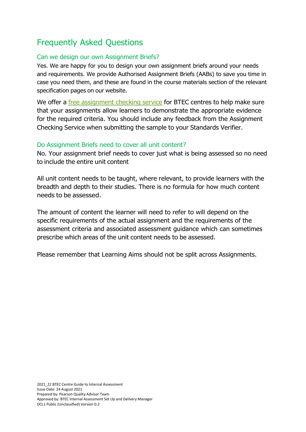# Frequently Asked Questions

#### Can we design our own Assignment Briefs?

Yes. We are happy for you to design your own assignment briefs around your needs and requirements. We provide Authorised Assignment Briefs (AABs) to save you time in case you need them, and these are found in the course materials section of the relevant specification pages on our website.

We offer a free assignment checking service for BTEC centres to help make sure that your assignments allow learners to demonstrate the appropriate evidence for the required criteria. You should include any feedback from the Assignment Checking Service when submitting the sample to your Standards Verifier.

#### Do Assignment Briefs need to cover all unit content?

No. Your assignment brief needs to cover just what is being assessed so no need to include the entire unit content

All unit content needs to be taught, where relevant, to provide learners with the breadth and depth to their studies. There is no formula for how much content needs to be assessed.

The amount of content the learner will need to refer to will depend on the specific requirements of the actual assignment and the requirements of the assessment criteria and associated assessment guidance which can sometimes prescribe which areas of the unit content needs to be assessed.

Please remember that Learning Aims should not be split across Assignments.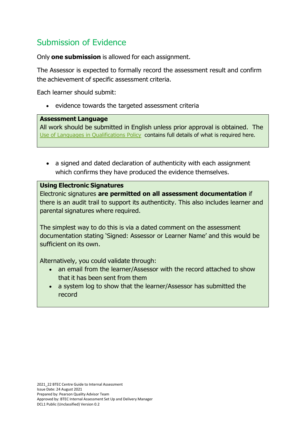# Submission of Evidence

Only **one submission** is allowed for each assignment.

The Assessor is expected to formally record the assessment result and confirm the achievement of specific assessment criteria.

Each learner should submit:

• evidence towards the targeted assessment criteria

#### **Assessment Language**

All work should be submitted in English unless prior approval is obtained. The Use of Languages in Qualifications Policy contains full details of what is required here.

• a signed and dated declaration of authenticity with each assignment which confirms they have produced the evidence themselves.

#### **Using Electronic Signatures**

Electronic signatures **are permitted on all assessment documentation** if there is an audit trail to support its authenticity. This also includes learner and parental signatures where required.

The simplest way to do this is via a dated comment on the assessment documentation stating 'Signed: Assessor or Learner Name' and this would be sufficient on its own.

Alternatively, you could validate through:

- an email from the learner/Assessor with the record attached to show that it has been sent from them
- a system log to show that the learner/Assessor has submitted the record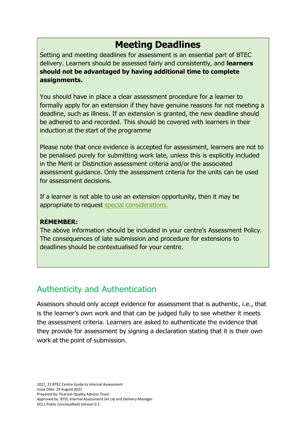# **Meeting Deadlines**

Setting and meeting deadlines for assessment is an essential part of BTEC delivery. Learners should be assessed fairly and consistently, and **learners should not be advantaged by having additional time to complete assignments.**

You should have in place a clear assessment procedure for a learner to formally apply for an extension if they have genuine reasons for not meeting a deadline, such as illness. If an extension is granted, the new deadline should be adhered to and recorded. This should be covered with learners in their induction at the start of the programme

Please note that once evidence is accepted for assessment, learners are not to be penalised purely for submitting work late, unless this is explicitly included in the Merit or Distinction assessment criteria and/or the associated assessment guidance. Only the assessment criteria for the units can be used for assessment decisions.

If a learner is not able to use an extension opportunity, then it may be appropriate to request special considerations.

#### **REMEMBER:**

The above information should be included in your centre's Assessment Policy. The consequences of late submission and procedure for extensions to deadlines should be contextualised for your centre.

# Authenticity and Authentication

Assessors should only accept evidence for assessment that is authentic, i.e., that is the learner's own work and that can be judged fully to see whether it meets the assessment criteria. Learners are asked to authenticate the evidence that they provide for assessment by signing a declaration stating that it is their own work at the point of submission.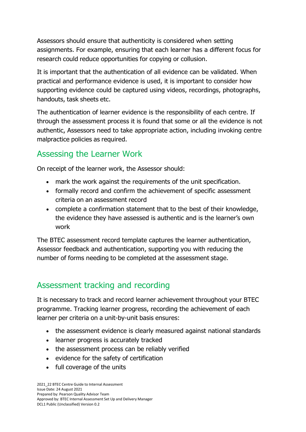Assessors should ensure that authenticity is considered when setting assignments. For example, ensuring that each learner has a different focus for research could reduce opportunities for copying or collusion.

It is important that the authentication of all evidence can be validated. When practical and performance evidence is used, it is important to consider how supporting evidence could be captured using videos, recordings, photographs, handouts, task sheets etc.

The authentication of learner evidence is the responsibility of each centre. If through the assessment process it is found that some or all the evidence is not authentic, Assessors need to take appropriate action, including invoking centre malpractice policies as required.

# Assessing the Learner Work

On receipt of the learner work, the Assessor should:

- mark the work against the requirements of the unit specification.
- formally record and confirm the achievement of specific assessment criteria on an assessment record
- complete a confirmation statement that to the best of their knowledge, the evidence they have assessed is authentic and is the learner's own work

The BTEC assessment record template captures the learner authentication, Assessor feedback and authentication, supporting you with reducing the number of forms needing to be completed at the assessment stage.

# Assessment tracking and recording

It is necessary to track and record learner achievement throughout your BTEC programme. Tracking learner progress, recording the achievement of each learner per criteria on a unit-by-unit basis ensures:

- the assessment evidence is clearly measured against national standards
- learner progress is accurately tracked
- the assessment process can be reliably verified
- evidence for the safety of certification
- full coverage of the units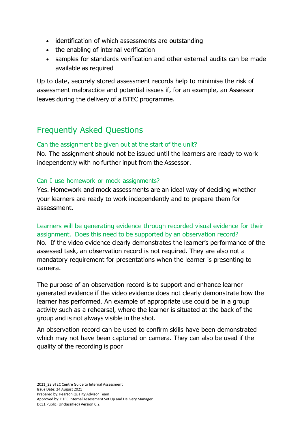- identification of which assessments are outstanding
- the enabling of internal verification
- samples for standards verification and other external audits can be made available as required

Up to date, securely stored assessment records help to minimise the risk of assessment malpractice and potential issues if, for an example, an Assessor leaves during the delivery of a BTEC programme.

# Frequently Asked Questions

#### Can the assignment be given out at the start of the unit?

No. The assignment should not be issued until the learners are ready to work independently with no further input from the Assessor.

#### Can I use homework or mock assignments?

Yes. Homework and mock assessments are an ideal way of deciding whether your learners are ready to work independently and to prepare them for assessment.

Learners will be generating evidence through recorded visual evidence for their assignment. Does this need to be supported by an observation record? No. If the video evidence clearly demonstrates the learner's performance of the assessed task, an observation record is not required. They are also not a mandatory requirement for presentations when the learner is presenting to camera.

The purpose of an observation record is to support and enhance learner generated evidence if the video evidence does not clearly demonstrate how the learner has performed. An example of appropriate use could be in a group activity such as a rehearsal, where the learner is situated at the back of the group and is not always visible in the shot.

An observation record can be used to confirm skills have been demonstrated which may not have been captured on camera. They can also be used if the quality of the recording is poor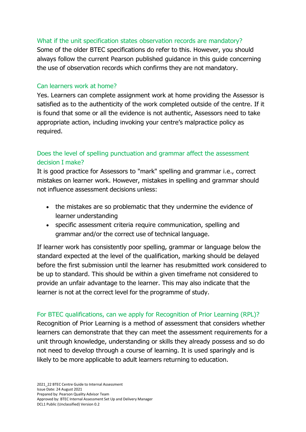#### What if the unit specification states observation records are mandatory?

Some of the older BTEC specifications do refer to this. However, you should always follow the current Pearson published guidance in this guide concerning the use of observation records which confirms they are not mandatory.

#### Can learners work at home?

Yes. Learners can complete assignment work at home providing the Assessor is satisfied as to the authenticity of the work completed outside of the centre. If it is found that some or all the evidence is not authentic, Assessors need to take appropriate action, including invoking your centre's malpractice policy as required.

## Does the level of spelling punctuation and grammar affect the assessment decision I make?

It is good practice for Assessors to "mark" spelling and grammar i.e., correct mistakes on learner work. However, mistakes in spelling and grammar should not influence assessment decisions unless:

- the mistakes are so problematic that they undermine the evidence of learner understanding
- specific assessment criteria require communication, spelling and grammar and/or the correct use of technical language.

If learner work has consistently poor spelling, grammar or language below the standard expected at the level of the qualification, marking should be delayed before the first submission until the learner has resubmitted work considered to be up to standard. This should be within a given timeframe not considered to provide an unfair advantage to the learner. This may also indicate that the learner is not at the correct level for the programme of study.

For BTEC qualifications, can we apply for Recognition of Prior Learning (RPL)? Recognition of Prior Learning is a method of assessment that considers whether learners can demonstrate that they can meet the assessment requirements for a unit through knowledge, understanding or skills they already possess and so do not need to develop through a course of learning. It is used sparingly and is likely to be more applicable to adult learners returning to education.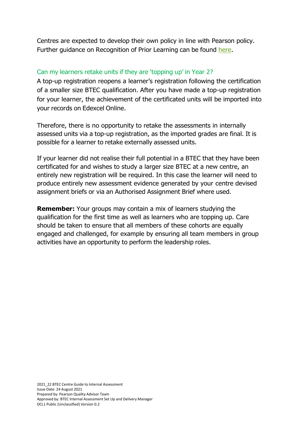Centres are expected to develop their own policy in line with Pearson policy. Further guidance on Recognition of Prior Learning can be found here.

#### Can my learners retake units if they are 'topping up' in Year 2?

A top-up registration reopens a learner's registration following the certification of a smaller size BTEC qualification. After you have made a top-up registration for your learner, the achievement of the certificated units will be imported into your records on Edexcel Online.

Therefore, there is no opportunity to retake the assessments in internally assessed units via a top-up registration, as the imported grades are final. It is possible for a learner to retake externally assessed units.

If your learner did not realise their full potential in a BTEC that they have been certificated for and wishes to study a larger size BTEC at a new centre, an entirely new registration will be required. In this case the learner will need to produce entirely new assessment evidence generated by your centre devised assignment briefs or via an Authorised Assignment Brief where used.

**Remember:** Your groups may contain a mix of learners studying the qualification for the first time as well as learners who are topping up. Care should be taken to ensure that all members of these cohorts are equally engaged and challenged, for example by ensuring all team members in group activities have an opportunity to perform the leadership roles.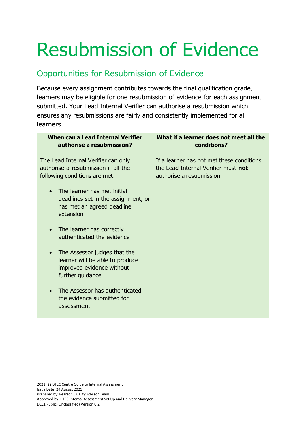# Resubmission of Evidence

# Opportunities for Resubmission of Evidence

Because every assignment contributes towards the final qualification grade, learners may be eligible for one resubmission of evidence for each assignment submitted. Your Lead Internal Verifier can authorise a resubmission which ensures any resubmissions are fairly and consistently implemented for all learners.

| <b>When can a Lead Internal Verifier</b><br>authorise a resubmission?                                                         | What if a learner does not meet all the<br>conditions?                                                         |
|-------------------------------------------------------------------------------------------------------------------------------|----------------------------------------------------------------------------------------------------------------|
| The Lead Internal Verifier can only<br>authorise a resubmission if all the<br>following conditions are met:                   | If a learner has not met these conditions,<br>the Lead Internal Verifier must not<br>authorise a resubmission. |
| The learner has met initial<br>deadlines set in the assignment, or<br>has met an agreed deadline<br>extension                 |                                                                                                                |
| The learner has correctly<br>authenticated the evidence                                                                       |                                                                                                                |
| The Assessor judges that the<br>$\bullet$<br>learner will be able to produce<br>improved evidence without<br>further guidance |                                                                                                                |
| The Assessor has authenticated<br>the evidence submitted for<br>assessment                                                    |                                                                                                                |

2021\_22 BTEC Centre Guide to Internal Assessment Issue Date: 24 August 2021 Prepared by: Pearson Quality Advisor Team Approved by: BTEC Internal Assessment Set Up and Delivery Manager DCL1 Public (Unclassified) Version 0.2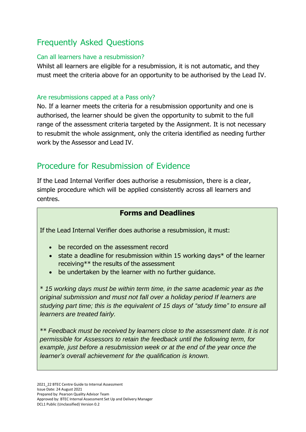# Frequently Asked Questions

#### Can all learners have a resubmission?

Whilst all learners are eligible for a resubmission, it is not automatic, and they must meet the criteria above for an opportunity to be authorised by the Lead IV.

#### Are resubmissions capped at a Pass only?

No. If a learner meets the criteria for a resubmission opportunity and one is authorised, the learner should be given the opportunity to submit to the full range of the assessment criteria targeted by the Assignment. It is not necessary to resubmit the whole assignment, only the criteria identified as needing further work by the Assessor and Lead IV.

# Procedure for Resubmission of Evidence

If the Lead Internal Verifier does authorise a resubmission, there is a clear, simple procedure which will be applied consistently across all learners and centres.

### **Forms and Deadlines**

If the Lead Internal Verifier does authorise a resubmission, it must:

- be recorded on the assessment record
- state a deadline for resubmission within 15 working days\* of the learner receiving\*\* the results of the assessment
- be undertaken by the learner with no further guidance.

\* *15 working days must be within term time, in the same academic year as the original submission and must not fall over a holiday period If learners are studying part time; this is the equivalent of 15 days of "study time" to ensure all learners are treated fairly.*

\*\* *Feedback must be received by learners close to the assessment date. It is not permissible for Assessors to retain the feedback until the following term, for example, just before a resubmission week or at the end of the year once the learner's overall achievement for the qualification is known.*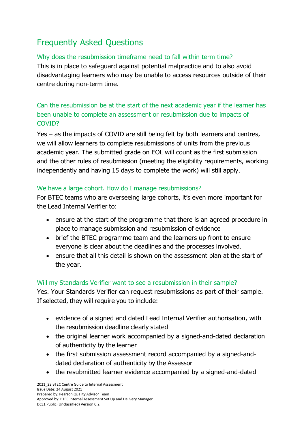# Frequently Asked Questions

#### Why does the resubmission timeframe need to fall within term time?

This is in place to safeguard against potential malpractice and to also avoid disadvantaging learners who may be unable to access resources outside of their centre during non-term time.

## Can the resubmission be at the start of the next academic year if the learner has been unable to complete an assessment or resubmission due to impacts of COVID?

Yes – as the impacts of COVID are still being felt by both learners and centres, we will allow learners to complete resubmissions of units from the previous academic year. The submitted grade on EOL will count as the first submission and the other rules of resubmission (meeting the eligibility requirements, working independently and having 15 days to complete the work) will still apply.

#### We have a large cohort. How do I manage resubmissions?

For BTEC teams who are overseeing large cohorts, it's even more important for the Lead Internal Verifier to:

- ensure at the start of the programme that there is an agreed procedure in place to manage submission and resubmission of evidence
- brief the BTEC programme team and the learners up front to ensure everyone is clear about the deadlines and the processes involved.
- ensure that all this detail is shown on the assessment plan at the start of the year.

#### Will my Standards Verifier want to see a resubmission in their sample?

Yes. Your Standards Verifier can request resubmissions as part of their sample. If selected, they will require you to include:

- evidence of a signed and dated Lead Internal Verifier authorisation, with the resubmission deadline clearly stated
- the original learner work accompanied by a signed-and-dated declaration of authenticity by the learner
- the first submission assessment record accompanied by a signed-anddated declaration of authenticity by the Assessor
- the resubmitted learner evidence accompanied by a signed-and-dated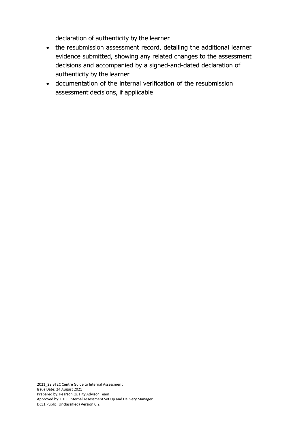declaration of authenticity by the learner

- the resubmission assessment record, detailing the additional learner evidence submitted, showing any related changes to the assessment decisions and accompanied by a signed-and-dated declaration of authenticity by the learner
- documentation of the internal verification of the resubmission assessment decisions, if applicable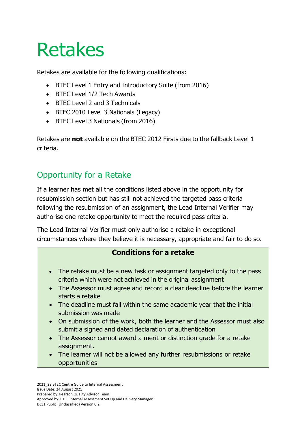# Retakes

Retakes are available for the following qualifications:

- BTEC Level 1 Entry and Introductory Suite (from 2016)
- BTEC Level 1/2 Tech Awards
- BTEC Level 2 and 3 Technicals
- BTEC 2010 Level 3 Nationals (Legacy)
- BTEC Level 3 Nationals (from 2016)

Retakes are **not** available on the BTEC 2012 Firsts due to the fallback Level 1 criteria.

# Opportunity for a Retake

If a learner has met all the conditions listed above in the opportunity for resubmission section but has still not achieved the targeted pass criteria following the resubmission of an assignment, the Lead Internal Verifier may authorise one retake opportunity to meet the required pass criteria.

The Lead Internal Verifier must only authorise a retake in exceptional circumstances where they believe it is necessary, appropriate and fair to do so.

## **Conditions for a retake**

- The retake must be a new task or assignment targeted only to the pass criteria which were not achieved in the original assignment
- The Assessor must agree and record a clear deadline before the learner starts a retake
- The deadline must fall within the same academic year that the initial submission was made
- On submission of the work, both the learner and the Assessor must also submit a signed and dated declaration of authentication
- The Assessor cannot award a merit or distinction grade for a retake assignment.
- The learner will not be allowed any further resubmissions or retake opportunities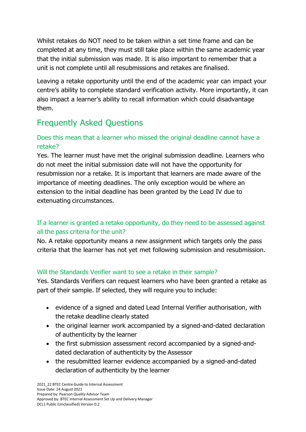Whilst retakes do NOT need to be taken within a set time frame and can be completed at any time, they must still take place within the same academic year that the initial submission was made. It is also important to remember that a unit is not complete until all resubmissions and retakes are finalised.

Leaving a retake opportunity until the end of the academic year can impact your centre's ability to complete standard verification activity. More importantly, it can also impact a learner's ability to recall information which could disadvantage them.

# Frequently Asked Questions

## Does this mean that a learner who missed the original deadline cannot have a retake?

Yes. The learner must have met the original submission deadline. Learners who do not meet the initial submission date will not have the opportunity for resubmission nor a retake. It is important that learners are made aware of the importance of meeting deadlines. The only exception would be where an extension to the initial deadline has been granted by the Lead IV due to extenuating circumstances.

## If a learner is granted a retake opportunity, do they need to be assessed against all the pass criteria for the unit?

No. A retake opportunity means a new assignment which targets only the pass criteria that the learner has not yet met following submission and resubmission.

## Will the Standards Verifier want to see a retake in their sample?

Yes. Standards Verifiers can request learners who have been granted a retake as part of their sample. If selected, they will require you to include:

- evidence of a signed and dated Lead Internal Verifier authorisation, with the retake deadline clearly stated
- the original learner work accompanied by a signed-and-dated declaration of authenticity by the learner
- the first submission assessment record accompanied by a signed-anddated declaration of authenticity by the Assessor
- the resubmitted learner evidence accompanied by a signed-and-dated declaration of authenticity by the learner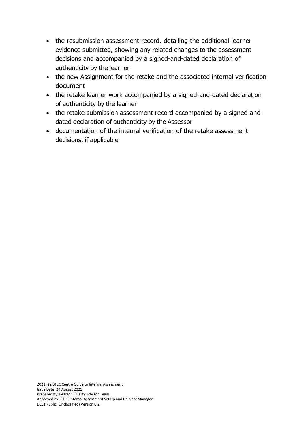- the resubmission assessment record, detailing the additional learner evidence submitted, showing any related changes to the assessment decisions and accompanied by a signed-and-dated declaration of authenticity by the learner
- the new Assignment for the retake and the associated internal verification document
- the retake learner work accompanied by a signed-and-dated declaration of authenticity by the learner
- the retake submission assessment record accompanied by a signed-anddated declaration of authenticity by the Assessor
- documentation of the internal verification of the retake assessment decisions, if applicable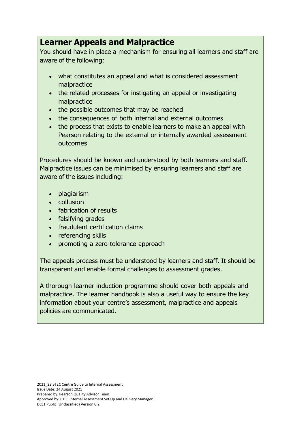## **Learner Appeals and Malpractice**

You should have in place a mechanism for ensuring all learners and staff are aware of the following:

- what constitutes an appeal and what is considered assessment malpractice
- the related processes for instigating an appeal or investigating malpractice
- the possible outcomes that may be reached
- the consequences of both internal and external outcomes
- the process that exists to enable learners to make an appeal with Pearson relating to the external or internally awarded assessment outcomes

Procedures should be known and understood by both learners and staff. Malpractice issues can be minimised by ensuring learners and staff are aware of the issues including:

- plagiarism
- collusion
- fabrication of results
- falsifying grades
- fraudulent certification claims
- referencing skills
- promoting a zero-tolerance approach

The appeals process must be understood by learners and staff. It should be transparent and enable formal challenges to assessment grades.

A thorough learner induction programme should cover both appeals and malpractice. The learner handbook is also a useful way to ensure the key information about your centre's assessment, malpractice and appeals policies are communicated.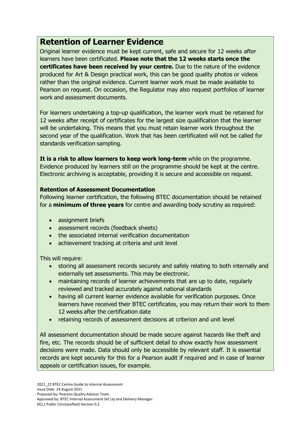# **Retention of Learner Evidence**

Original learner evidence must be kept current, safe and secure for 12 weeks after learners have been certificated. **Please note that the 12 weeks starts once the certificates have been received by your centre.** Due to the nature of the evidence produced for Art & Design practical work, this can be good quality photos or videos rather than the original evidence. Current learner work must be made available to Pearson on request. On occasion, the Regulator may also request portfolios of learner work and assessment documents.

For learners undertaking a top-up qualification, the learner work must be retained for 12 weeks after receipt of certificates for the largest size qualification that the learner will be undertaking. This means that you must retain learner work throughout the second year of the qualification. Work that has been certificated will not be called for standards verification sampling.

**It is a risk to allow learners to keep work long-term** while on the programme. Evidence produced by learners still on the programme should be kept at the centre. Electronic archiving is acceptable, providing it is secure and accessible on request.

#### **Retention of Assessment Documentation**

Following learner certification, the following BTEC documentation should be retained for a **minimum of three years** for centre and awarding body scrutiny as required:

- assignment briefs
- assessment records (feedback sheets)
- the associated internal verification documentation
- achievement tracking at criteria and unit level

This will require:

- storing all assessment records securely and safely relating to both internally and externally set assessments. This may be electronic.
- maintaining records of learner achievements that are up to date, regularly reviewed and tracked accurately against national standards
- having all current learner evidence available for verification purposes. Once learners have received their BTEC certificates, you may return their work to them 12 weeks after the certification date
- retaining records of assessment decisions at criterion and unit level

All assessment documentation should be made secure against hazards like theft and fire, etc. The records should be of sufficient detail to show exactly how assessment decisions were made. Data should only be accessible by relevant staff. It is essential records are kept securely for this for a Pearson audit if required and in case of learner appeals or certification issues, for example.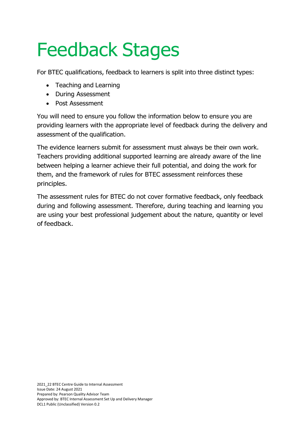# Feedback Stages

For BTEC qualifications, feedback to learners is split into three distinct types:

- Teaching and Learning
- During Assessment
- Post Assessment

You will need to ensure you follow the information below to ensure you are providing learners with the appropriate level of feedback during the delivery and assessment of the qualification.

The evidence learners submit for assessment must always be their own work. Teachers providing additional supported learning are already aware of the line between helping a learner achieve their full potential, and doing the work for them, and the framework of rules for BTEC assessment reinforces these principles.

The assessment rules for BTEC do not cover formative feedback, only feedback during and following assessment. Therefore, during teaching and learning you are using your best professional judgement about the nature, quantity or level of feedback.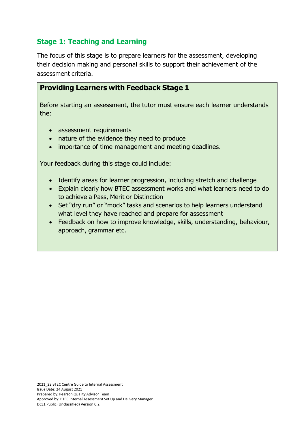## **Stage 1: Teaching and Learning**

The focus of this stage is to prepare learners for the assessment, developing their decision making and personal skills to support their achievement of the assessment criteria.

## **Providing Learners with Feedback Stage 1**

Before starting an assessment, the tutor must ensure each learner understands the:

- assessment requirements
- nature of the evidence they need to produce
- importance of time management and meeting deadlines.

Your feedback during this stage could include:

- Identify areas for learner progression, including stretch and challenge
- Explain clearly how BTEC assessment works and what learners need to do to achieve a Pass, Merit or Distinction
- Set "dry run" or "mock" tasks and scenarios to help learners understand what level they have reached and prepare for assessment
- Feedback on how to improve knowledge, skills, understanding, behaviour, approach, grammar etc.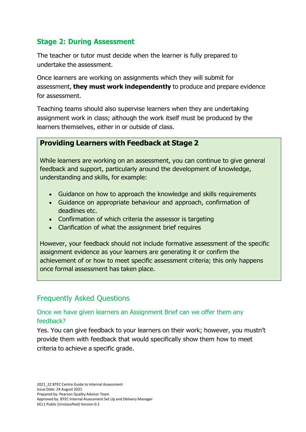## **Stage 2: During Assessment**

The teacher or tutor must decide when the learner is fully prepared to undertake the assessment.

Once learners are working on assignments which they will submit for assessment, **they must work independently** to produce and prepare evidence for assessment.

Teaching teams should also supervise learners when they are undertaking assignment work in class; although the work itself must be produced by the learners themselves, either in or outside of class.

## **Providing Learners with Feedback at Stage 2**

While learners are working on an assessment, you can continue to give general feedback and support, particularly around the development of knowledge, understanding and skills, for example:

- Guidance on how to approach the knowledge and skills requirements
- Guidance on appropriate behaviour and approach, confirmation of deadlines etc.
- Confirmation of which criteria the assessor is targeting
- Clarification of what the assignment brief requires

However, your feedback should not include formative assessment of the specific assignment evidence as your learners are generating it or confirm the achievement of or how to meet specific assessment criteria; this only happens once formal assessment has taken place.

## Frequently Asked Questions

### Once we have given learners an Assignment Brief can we offer them any feedback?

Yes. You can give feedback to your learners on their work; however, you mustn't provide them with feedback that would specifically show them how to meet criteria to achieve a specific grade.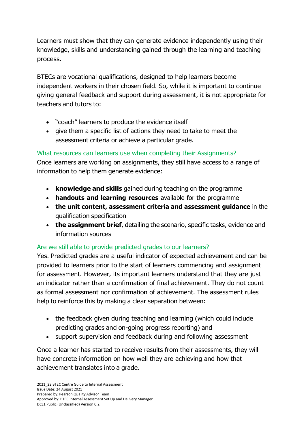Learners must show that they can generate evidence independently using their knowledge, skills and understanding gained through the learning and teaching process.

BTECs are vocational qualifications, designed to help learners become independent workers in their chosen field. So, while it is important to continue giving general feedback and support during assessment, it is not appropriate for teachers and tutors to:

- "coach" learners to produce the evidence itself
- give them a specific list of actions they need to take to meet the assessment criteria or achieve a particular grade.

What resources can learners use when completing their Assignments?

Once learners are working on assignments, they still have access to a range of information to help them generate evidence:

- **knowledge and skills** gained during teaching on the programme
- **handouts and learning resources** available for the programme
- **the unit content, assessment criteria and assessment guidance** in the qualification specification
- **the assignment brief**, detailing the scenario, specific tasks, evidence and information sources

## Are we still able to provide predicted grades to our learners?

Yes. Predicted grades are a useful indicator of expected achievement and can be provided to learners prior to the start of learners commencing and assignment for assessment. However, its important learners understand that they are just an indicator rather than a confirmation of final achievement. They do not count as formal assessment nor confirmation of achievement. The assessment rules help to reinforce this by making a clear separation between:

- the feedback given during teaching and learning (which could include predicting grades and on-going progress reporting) and
- support supervision and feedback during and following assessment

Once a learner has started to receive results from their assessments, they will have concrete information on how well they are achieving and how that achievement translates into a grade.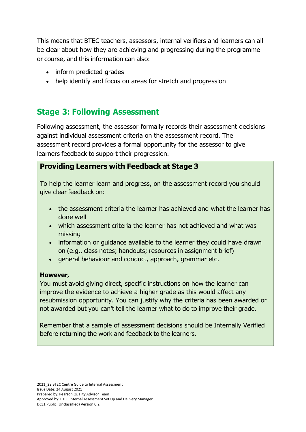This means that BTEC teachers, assessors, internal verifiers and learners can all be clear about how they are achieving and progressing during the programme or course, and this information can also:

- inform predicted grades
- help identify and focus on areas for stretch and progression

# **Stage 3: Following Assessment**

Following assessment, the assessor formally records their assessment decisions against individual assessment criteria on the assessment record. The assessment record provides a formal opportunity for the assessor to give learners feedback to support their progression.

## **Providing Learners with Feedback at Stage 3**

To help the learner learn and progress, on the assessment record you should give clear feedback on:

- the assessment criteria the learner has achieved and what the learner has done well
- which assessment criteria the learner has not achieved and what was missing
- information or guidance available to the learner they could have drawn on (e.g., class notes; handouts; resources in assignment brief)
- general behaviour and conduct, approach, grammar etc.

#### **However,**

You must avoid giving direct, specific instructions on how the learner can improve the evidence to achieve a higher grade as this would affect any resubmission opportunity. You can justify why the criteria has been awarded or not awarded but you can't tell the learner what to do to improve their grade.

Remember that a sample of assessment decisions should be Internally Verified before returning the work and feedback to the learners.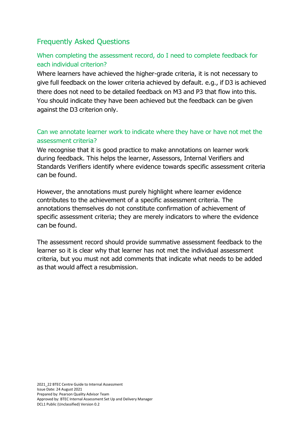## Frequently Asked Questions

## When completing the assessment record, do I need to complete feedback for each individual criterion?

Where learners have achieved the higher-grade criteria, it is not necessary to give full feedback on the lower criteria achieved by default. e.g., if D3 is achieved there does not need to be detailed feedback on M3 and P3 that flow into this. You should indicate they have been achieved but the feedback can be given against the D3 criterion only.

## Can we annotate learner work to indicate where they have or have not met the assessment criteria?

We recognise that it is good practice to make annotations on learner work during feedback. This helps the learner, Assessors, Internal Verifiers and Standards Verifiers identify where evidence towards specific assessment criteria can be found.

However, the annotations must purely highlight where learner evidence contributes to the achievement of a specific assessment criteria. The annotations themselves do not constitute confirmation of achievement of specific assessment criteria; they are merely indicators to where the evidence can be found.

The assessment record should provide summative assessment feedback to the learner so it is clear why that learner has not met the individual assessment criteria, but you must not add comments that indicate what needs to be added as that would affect a resubmission.